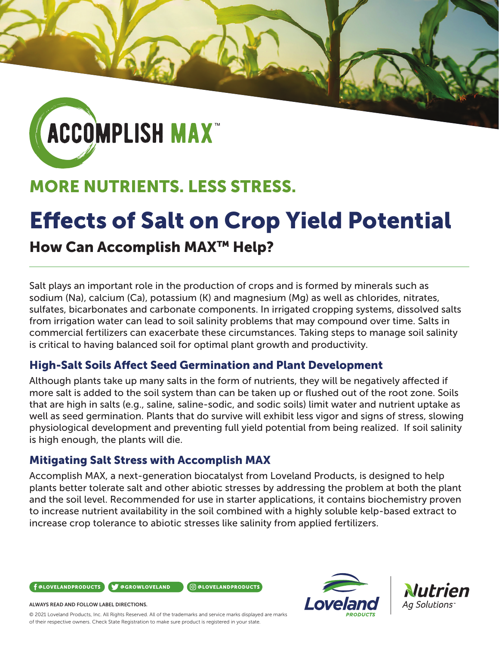

## MORE NUTRIENTS. LESS STRESS.

# Effects of Salt on Crop Yield Potential

## How Can Accomplish MAX™ Help?

Salt plays an important role in the production of crops and is formed by minerals such as sodium (Na), calcium (Ca), potassium (K) and magnesium (Mg) as well as chlorides, nitrates, sulfates, bicarbonates and carbonate components. In irrigated cropping systems, dissolved salts from irrigation water can lead to soil salinity problems that may compound over time. Salts in commercial fertilizers can exacerbate these circumstances. Taking steps to manage soil salinity is critical to having balanced soil for optimal plant growth and productivity.

#### High-Salt Soils Affect Seed Germination and Plant Development

Although plants take up many salts in the form of nutrients, they will be negatively affected if more salt is added to the soil system than can be taken up or flushed out of the root zone. Soils that are high in salts (e.g., saline, saline-sodic, and sodic soils) limit water and nutrient uptake as well as seed germination. Plants that do survive will exhibit less vigor and signs of stress, slowing physiological development and preventing full yield potential from being realized. If soil salinity is high enough, the plants will die.

#### Mitigating Salt Stress with Accomplish MAX

Accomplish MAX, a next-generation biocatalyst from Loveland Products, is designed to help plants better tolerate salt and other abiotic stresses by addressing the problem at both the plant and the soil level. Recommended for use in starter applications, it contains biochemistry proven to increase nutrient availability in the soil combined with a highly soluble kelp-based extract to increase crop tolerance to abiotic stresses like salinity from applied fertilizers.







#### ALWAYS READ AND FOLLOW LABEL DIRECTIONS.

© 2021 Loveland Products, Inc. All Rights Reserved. All of the trademarks and service marks displayed are marks of their respective owners. Check State Registration to make sure product is registered in your state.